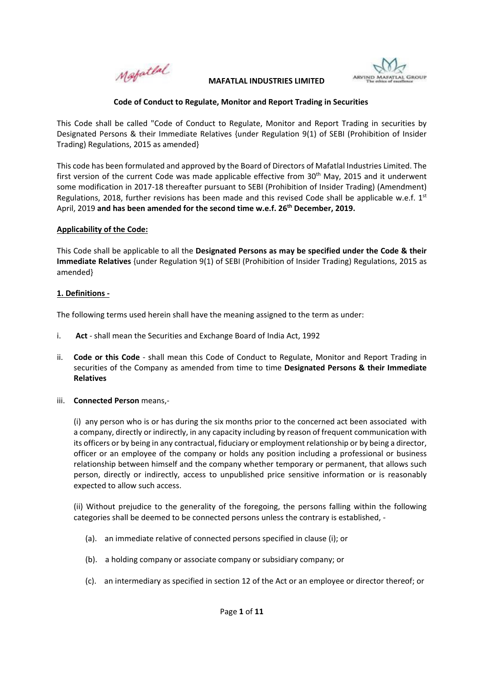Mobatlal



#### **Code of Conduct to Regulate, Monitor and Report Trading in Securities**

This Code shall be called "Code of Conduct to Regulate, Monitor and Report Trading in securities by Designated Persons & their Immediate Relatives {under Regulation 9(1) of SEBI (Prohibition of Insider Trading) Regulations, 2015 as amended}

This code has been formulated and approved by the Board of Directors of Mafatlal Industries Limited. The first version of the current Code was made applicable effective from  $30<sup>th</sup>$  May, 2015 and it underwent some modification in 2017-18 thereafter pursuant to SEBI (Prohibition of Insider Trading) (Amendment) Regulations, 2018, further revisions has been made and this revised Code shall be applicable w.e.f.  $1^{st}$ April, 2019 **and has been amended for the second time w.e.f. 26th December, 2019.**

#### **Applicability of the Code:**

This Code shall be applicable to all the **Designated Persons as may be specified under the Code & their Immediate Relatives** {under Regulation 9(1) of SEBI (Prohibition of Insider Trading) Regulations, 2015 as amended}

#### **1. Definitions ‐**

The following terms used herein shall have the meaning assigned to the term as under:

- i. **Act** ‐ shall mean the Securities and Exchange Board of India Act, 1992
- ii. **Code or this Code** ‐ shall mean this Code of Conduct to Regulate, Monitor and Report Trading in securities of the Company as amended from time to time **Designated Persons & their Immediate Relatives**
- iii. **Connected Person** means,‐

(i) any person who is or has during the six months prior to the concerned act been associated with a company, directly or indirectly, in any capacity including by reason of frequent communication with its officers or by being in any contractual, fiduciary or employment relationship or by being a director, officer or an employee of the company or holds any position including a professional or business relationship between himself and the company whether temporary or permanent, that allows such person, directly or indirectly, access to unpublished price sensitive information or is reasonably expected to allow such access.

(ii) Without prejudice to the generality of the foregoing, the persons falling within the following categories shall be deemed to be connected persons unless the contrary is established, ‐

- (a). an immediate relative of connected persons specified in clause (i); or
- (b). a holding company or associate company or subsidiary company; or
- (c). an intermediary as specified in section 12 of the Act or an employee or director thereof; or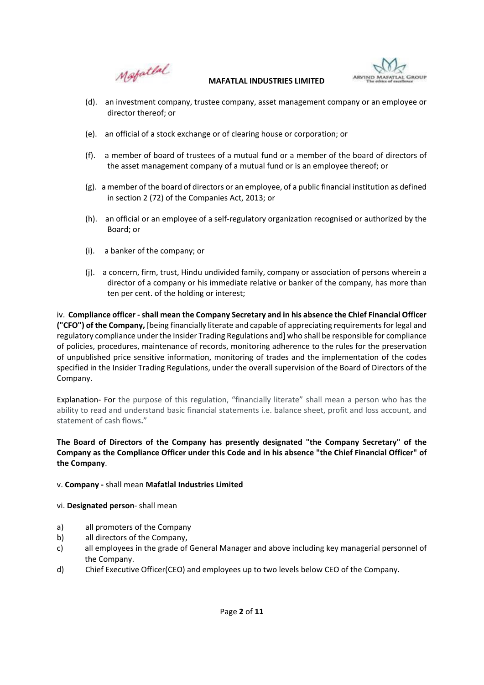



- (d). an investment company, trustee company, asset management company or an employee or director thereof; or
- (e). an official of a stock exchange or of clearing house or corporation; or
- (f). a member of board of trustees of a mutual fund or a member of the board of directors of the asset management company of a mutual fund or is an employee thereof; or
- (g). a member of the board of directors or an employee, of a public financial institution as defined in section 2 (72) of the Companies Act, 2013; or
- (h). an official or an employee of a self-regulatory organization recognised or authorized by the Board; or
- (i). a banker of the company; or
- (j). a concern, firm, trust, Hindu undivided family, company or association of persons wherein a director of a company or his immediate relative or banker of the company, has more than ten per cent. of the holding or interest;

iv. **Compliance officer ‐ shall mean the Company Secretary and in his absence the Chief Financial Officer ("CFO") of the Company,** [being financially literate and capable of appreciating requirementsfor legal and regulatory compliance underthe Insider Trading Regulations and] who shall be responsible for compliance of policies, procedures, maintenance of records, monitoring adherence to the rules for the preservation of unpublished price sensitive information, monitoring of trades and the implementation of the codes specified in the Insider Trading Regulations, under the overall supervision of the Board of Directors of the Company.

Explanation- For the purpose of this regulation, "financially literate" shall mean a person who has the ability to read and understand basic financial statements i.e. balance sheet, profit and loss account, and statement of cash flows**.**"

## **The Board of Directors of the Company has presently designated "the Company Secretary" of the Company as the Compliance Officer under this Code and in his absence "the Chief Financial Officer" of the Company**.

#### v. **Company ‐** shall mean **Mafatlal Industries Limited**

- vi. **Designated person**‐ shall mean
- a) all promoters of the Company
- b) all directors of the Company,
- c) all employees in the grade of General Manager and above including key managerial personnel of the Company.
- d) Chief Executive Officer(CEO) and employees up to two levels below CEO of the Company.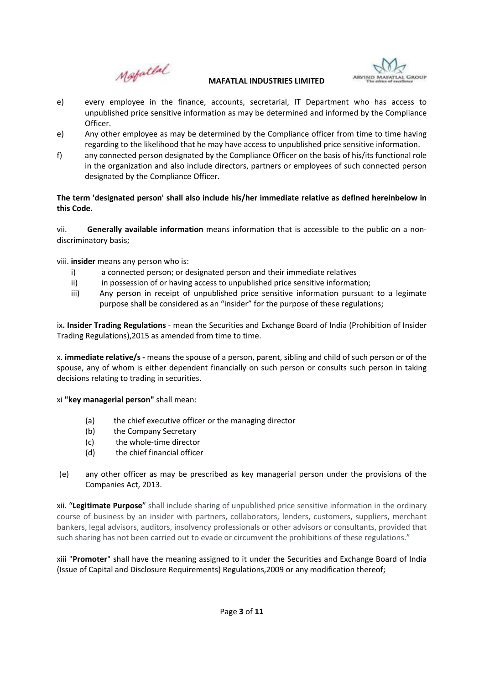



- e) every employee in the finance, accounts, secretarial, IT Department who has access to unpublished price sensitive information as may be determined and informed by the Compliance Officer.
- e) Any other employee as may be determined by the Compliance officer from time to time having regarding to the likelihood that he may have access to unpublished price sensitive information.
- f) any connected person designated by the Compliance Officer on the basis of his/its functional role in the organization and also include directors, partners or employees of such connected person designated by the Compliance Officer.

## **The term 'designated person' shall also include his/her immediate relative as defined hereinbelow in this Code.**

vii. **Generally available information** means information that is accessible to the public on a non‐ discriminatory basis;

viii. **insider** means any person who is:

- i) a connected person; or designated person and their immediate relatives
- ii) in possession of or having access to unpublished price sensitive information;
- iii) Any person in receipt of unpublished price sensitive information pursuant to a legimate purpose shall be considered as an "insider" for the purpose of these regulations;

ix**. Insider Trading Regulations** ‐ mean the Securities and Exchange Board of India (Prohibition of Insider Trading Regulations),2015 as amended from time to time.

x. **immediate relative/s ‐** means the spouse of a person, parent, sibling and child of such person or of the spouse, any of whom is either dependent financially on such person or consults such person in taking decisions relating to trading in securities.

xi **"key managerial person"** shall mean:

- (a) the chief executive officer or the managing director
- (b) the Company Secretary
- (c) the whole‐time director
- (d) the chief financial officer
- (e) any other officer as may be prescribed as key managerial person under the provisions of the Companies Act, 2013.

xii. "**Legitimate Purpose**" shall include sharing of unpublished price sensitive information in the ordinary course of business by an insider with partners, collaborators, lenders, customers, suppliers, merchant bankers, legal advisors, auditors, insolvency professionals or other advisors or consultants, provided that such sharing has not been carried out to evade or circumvent the prohibitions of these regulations."

xiii "**Promoter**" shall have the meaning assigned to it under the Securities and Exchange Board of India (Issue of Capital and Disclosure Requirements) Regulations,2009 or any modification thereof;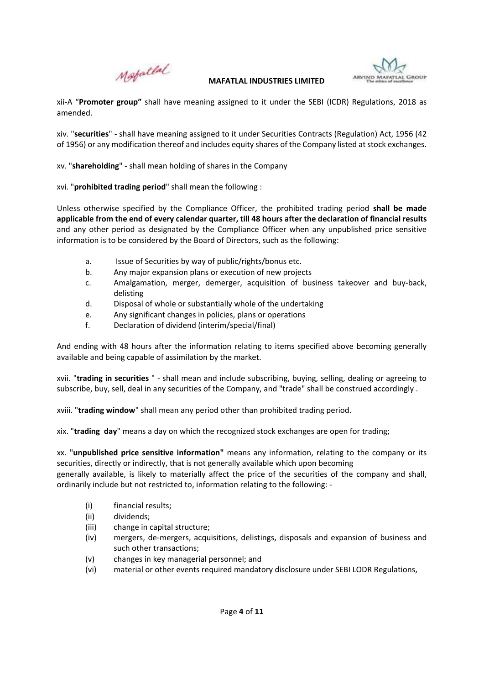Mafatlal



xii‐A "**Promoter group"** shall have meaning assigned to it under the SEBI (ICDR) Regulations, 2018 as amended.

xiv. "**securities**" ‐ shall have meaning assigned to it under Securities Contracts (Regulation) Act, 1956 (42 of 1956) or any modification thereof and includes equity shares of the Company listed at stock exchanges.

xv. "**shareholding**" ‐ shall mean holding of shares in the Company

xvi. "**prohibited trading period**" shall mean the following :

Unless otherwise specified by the Compliance Officer, the prohibited trading period **shall be made** applicable from the end of every calendar quarter, till 48 hours after the declaration of financial results and any other period as designated by the Compliance Officer when any unpublished price sensitive information is to be considered by the Board of Directors, such as the following:

- a. Issue of Securities by way of public/rights/bonus etc.
- b. Any major expansion plans or execution of new projects
- c. Amalgamation, merger, demerger, acquisition of business takeover and buy‐back, delisting
- d. Disposal of whole or substantially whole of the undertaking
- e. Any significant changes in policies, plans or operations
- f. Declaration of dividend (interim/special/final)

And ending with 48 hours after the information relating to items specified above becoming generally available and being capable of assimilation by the market.

xvii. "**trading in securities** " ‐ shall mean and include subscribing, buying, selling, dealing or agreeing to subscribe, buy, sell, deal in any securities of the Company, and "trade" shall be construed accordingly .

xviii. "**trading window**" shall mean any period other than prohibited trading period.

xix. "**trading day**" means a day on which the recognized stock exchanges are open for trading;

xx. "**unpublished price sensitive information"** means any information, relating to the company or its securities, directly or indirectly, that is not generally available which upon becoming

generally available, is likely to materially affect the price of the securities of the company and shall, ordinarily include but not restricted to, information relating to the following: ‐

- (i) financial results;
- (ii) dividends:
- (iii) change in capital structure;
- (iv) mergers, de‐mergers, acquisitions, delistings, disposals and expansion of business and such other transactions;
- (v) changes in key managerial personnel; and
- (vi) material or other events required mandatory disclosure under SEBI LODR Regulations,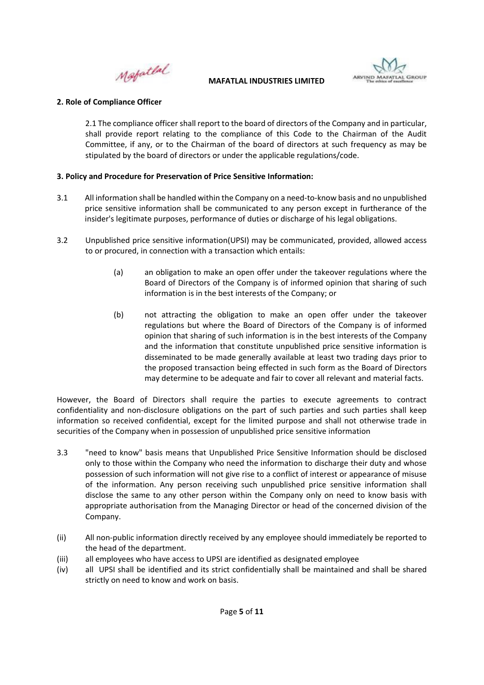Mobatlal



## **2. Role of Compliance Officer**

2.1 The compliance officer shall report to the board of directors of the Company and in particular, shall provide report relating to the compliance of this Code to the Chairman of the Audit Committee, if any, or to the Chairman of the board of directors at such frequency as may be stipulated by the board of directors or under the applicable regulations/code.

## **3. Policy and Procedure for Preservation of Price Sensitive Information:**

- 3.1 All information shall be handled within the Company on a need-to-know basis and no unpublished price sensitive information shall be communicated to any person except in furtherance of the insider's legitimate purposes, performance of duties or discharge of his legal obligations.
- 3.2 Unpublished price sensitive information(UPSI) may be communicated, provided, allowed access to or procured, in connection with a transaction which entails:
	- (a) an obligation to make an open offer under the takeover regulations where the Board of Directors of the Company is of informed opinion that sharing of such information is in the best interests of the Company; or
	- (b) not attracting the obligation to make an open offer under the takeover regulations but where the Board of Directors of the Company is of informed opinion that sharing of such information is in the best interests of the Company and the information that constitute unpublished price sensitive information is disseminated to be made generally available at least two trading days prior to the proposed transaction being effected in such form as the Board of Directors may determine to be adequate and fair to cover all relevant and material facts.

However, the Board of Directors shall require the parties to execute agreements to contract confidentiality and non‐disclosure obligations on the part of such parties and such parties shall keep information so received confidential, except for the limited purpose and shall not otherwise trade in securities of the Company when in possession of unpublished price sensitive information

- 3.3 "need to know" basis means that Unpublished Price Sensitive Information should be disclosed only to those within the Company who need the information to discharge their duty and whose possession of such information will not give rise to a conflict of interest or appearance of misuse of the information. Any person receiving such unpublished price sensitive information shall disclose the same to any other person within the Company only on need to know basis with appropriate authorisation from the Managing Director or head of the concerned division of the Company.
- (ii) All non‐public information directly received by any employee should immediately be reported to the head of the department.
- (iii) all employees who have access to UPSI are identified as designated employee
- (iv) all UPSI shall be identified and its strict confidentially shall be maintained and shall be shared strictly on need to know and work on basis.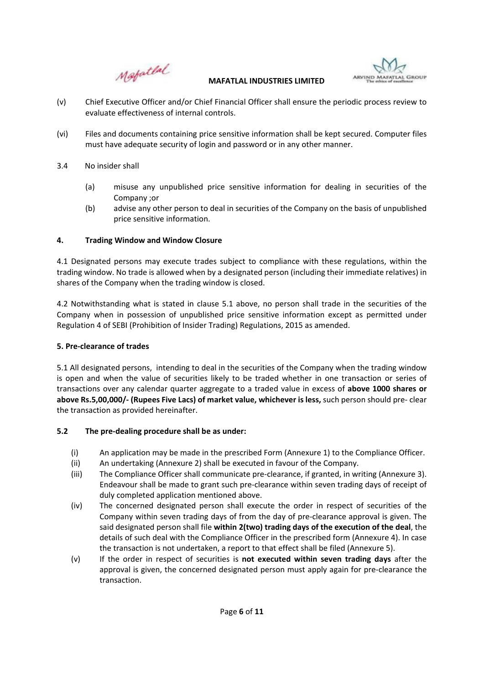



- (v) Chief Executive Officer and/or Chief Financial Officer shall ensure the periodic process review to evaluate effectiveness of internal controls.
- (vi) Files and documents containing price sensitive information shall be kept secured. Computer files must have adequate security of login and password or in any other manner.
- 3.4 No insider shall
	- (a) misuse any unpublished price sensitive information for dealing in securities of the Company ;or
	- (b) advise any other person to deal in securities of the Company on the basis of unpublished price sensitive information.

## **4. Trading Window and Window Closure**

4.1 Designated persons may execute trades subject to compliance with these regulations, within the trading window. No trade is allowed when by a designated person (including their immediate relatives) in shares of the Company when the trading window is closed.

4.2 Notwithstanding what is stated in clause 5.1 above, no person shall trade in the securities of the Company when in possession of unpublished price sensitive information except as permitted under Regulation 4 of SEBI (Prohibition of Insider Trading) Regulations, 2015 as amended.

## **5. Pre‐clearance of trades**

5.1 All designated persons, intending to deal in the securities of the Company when the trading window is open and when the value of securities likely to be traded whether in one transaction or series of transactions over any calendar quarter aggregate to a traded value in excess of **above 1000 shares or above Rs.5,00,000/‐ (Rupees Five Lacs) of market value, whichever is less,** such person should pre‐ clear the transaction as provided hereinafter.

#### **5.2 The pre‐dealing procedure shall be as under:**

- (i) An application may be made in the prescribed Form (Annexure 1) to the Compliance Officer.
- (ii) An undertaking (Annexure 2) shall be executed in favour of the Company.
- (iii) The Compliance Officer shall communicate pre‐clearance, if granted, in writing (Annexure 3). Endeavour shall be made to grant such pre‐clearance within seven trading days of receipt of duly completed application mentioned above.
- (iv) The concerned designated person shall execute the order in respect of securities of the Company within seven trading days of from the day of pre‐clearance approval is given. The said designated person shall file **within 2(two) trading days of the execution of the deal**, the details of such deal with the Compliance Officer in the prescribed form (Annexure 4). In case the transaction is not undertaken, a report to that effect shall be filed (Annexure 5).
- (v) If the order in respect of securities is **not executed within seven trading days** after the approval is given, the concerned designated person must apply again for pre‐clearance the transaction.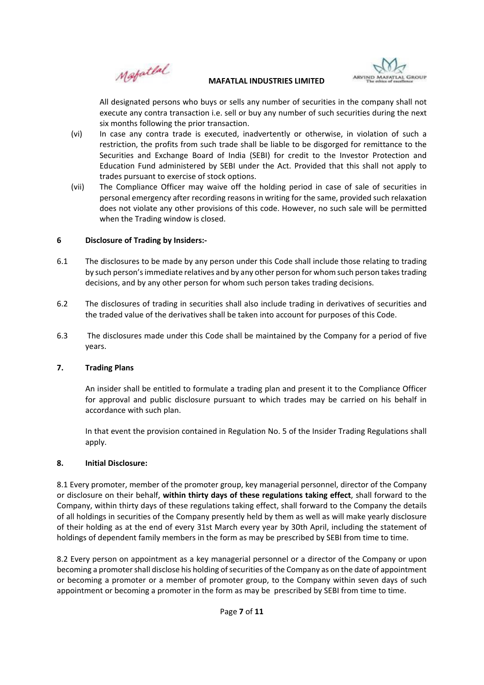Mafatlal



All designated persons who buys or sells any number of securities in the company shall not execute any contra transaction i.e. sell or buy any number of such securities during the next six months following the prior transaction.

- (vi) In case any contra trade is executed, inadvertently or otherwise, in violation of such a restriction, the profits from such trade shall be liable to be disgorged for remittance to the Securities and Exchange Board of India (SEBI) for credit to the Investor Protection and Education Fund administered by SEBI under the Act. Provided that this shall not apply to trades pursuant to exercise of stock options.
- (vii) The Compliance Officer may waive off the holding period in case of sale of securities in personal emergency after recording reasons in writing for the same, provided such relaxation does not violate any other provisions of this code. However, no such sale will be permitted when the Trading window is closed.

#### **6 Disclosure of Trading by Insiders:‐**

- 6.1 The disclosures to be made by any person under this Code shall include those relating to trading by such person'simmediate relatives and by any other person for whom such person takestrading decisions, and by any other person for whom such person takes trading decisions.
- 6.2 The disclosures of trading in securities shall also include trading in derivatives of securities and the traded value of the derivatives shall be taken into account for purposes of this Code.
- 6.3 The disclosures made under this Code shall be maintained by the Company for a period of five years.

#### **7. Trading Plans**

An insider shall be entitled to formulate a trading plan and present it to the Compliance Officer for approval and public disclosure pursuant to which trades may be carried on his behalf in accordance with such plan.

In that event the provision contained in Regulation No. 5 of the Insider Trading Regulations shall apply.

#### **8. Initial Disclosure:**

8.1 Every promoter, member of the promoter group, key managerial personnel, director of the Company or disclosure on their behalf, **within thirty days of these regulations taking effect**, shall forward to the Company, within thirty days of these regulations taking effect, shall forward to the Company the details of all holdings in securities of the Company presently held by them as well as will make yearly disclosure of their holding as at the end of every 31st March every year by 30th April, including the statement of holdings of dependent family members in the form as may be prescribed by SEBI from time to time.

8.2 Every person on appointment as a key managerial personnel or a director of the Company or upon becoming a promoter shall disclose his holding of securities of the Company as on the date of appointment or becoming a promoter or a member of promoter group, to the Company within seven days of such appointment or becoming a promoter in the form as may be prescribed by SEBI from time to time.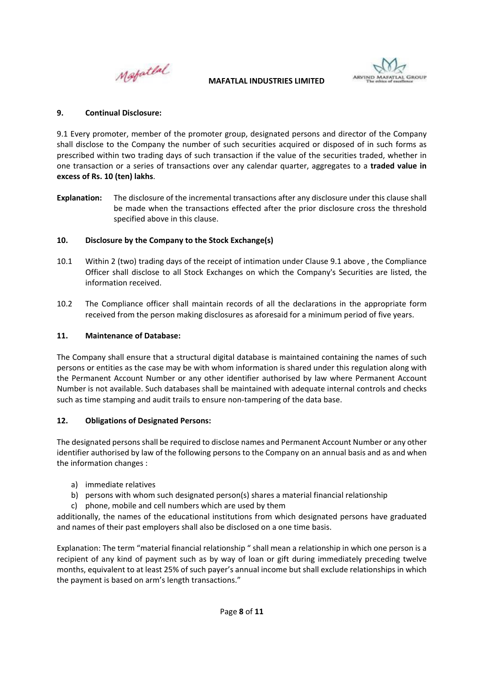Mobatlal



#### **9. Continual Disclosure:**

9.1 Every promoter, member of the promoter group, designated persons and director of the Company shall disclose to the Company the number of such securities acquired or disposed of in such forms as prescribed within two trading days of such transaction if the value of the securities traded, whether in one transaction or a series of transactions over any calendar quarter, aggregates to a **traded value in excess of Rs. 10 (ten) lakhs**.

**Explanation:** The disclosure of the incremental transactions after any disclosure under this clause shall be made when the transactions effected after the prior disclosure cross the threshold specified above in this clause.

#### **10. Disclosure by the Company to the Stock Exchange(s)**

- 10.1 Within 2 (two) trading days of the receipt of intimation under Clause 9.1 above , the Compliance Officer shall disclose to all Stock Exchanges on which the Company's Securities are listed, the information received.
- 10.2 The Compliance officer shall maintain records of all the declarations in the appropriate form received from the person making disclosures as aforesaid for a minimum period of five years.

#### **11. Maintenance of Database:**

The Company shall ensure that a structural digital database is maintained containing the names of such persons or entities as the case may be with whom information is shared under this regulation along with the Permanent Account Number or any other identifier authorised by law where Permanent Account Number is not available. Such databases shall be maintained with adequate internal controls and checks such as time stamping and audit trails to ensure non-tampering of the data base.

#### **12. Obligations of Designated Persons:**

The designated personsshall be required to disclose names and Permanent Account Number or any other identifier authorised by law of the following persons to the Company on an annual basis and as and when the information changes :

- a) immediate relatives
- b) persons with whom such designated person(s) shares a material financial relationship
- c) phone, mobile and cell numbers which are used by them

additionally, the names of the educational institutions from which designated persons have graduated and names of their past employers shall also be disclosed on a one time basis.

Explanation: The term "material financial relationship " shall mean a relationship in which one person is a recipient of any kind of payment such as by way of loan or gift during immediately preceding twelve months, equivalent to at least 25% of such payer's annual income but shall exclude relationships in which the payment is based on arm's length transactions."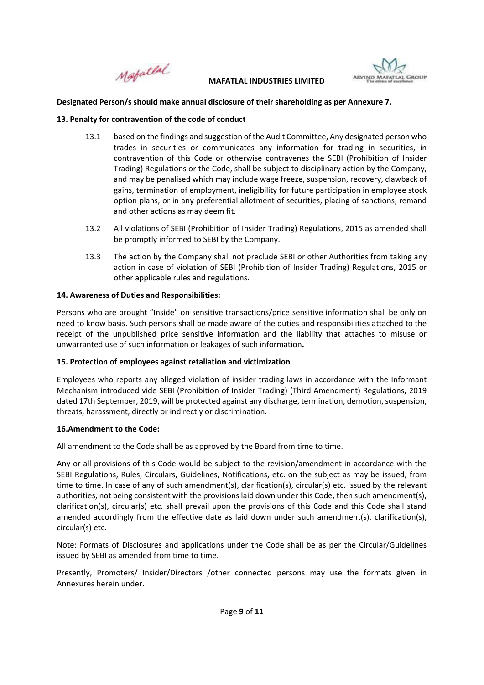Mobatlal



## **Designated Person/s should make annual disclosure of their shareholding as per Annexure 7.**

## **13. Penalty for contravention of the code of conduct**

- 13.1 based on the findings and suggestion of the Audit Committee, Any designated person who trades in securities or communicates any information for trading in securities, in contravention of this Code or otherwise contravenes the SEBI (Prohibition of Insider Trading) Regulations or the Code, shall be subject to disciplinary action by the Company, and may be penalised which may include wage freeze, suspension, recovery, clawback of gains, termination of employment, ineligibility for future participation in employee stock option plans, or in any preferential allotment of securities, placing of sanctions, remand and other actions as may deem fit.
- 13.2 All violations of SEBI (Prohibition of Insider Trading) Regulations, 2015 as amended shall be promptly informed to SEBI by the Company.
- 13.3 The action by the Company shall not preclude SEBI or other Authorities from taking any action in case of violation of SEBI (Prohibition of Insider Trading) Regulations, 2015 or other applicable rules and regulations.

## **14. Awareness of Duties and Responsibilities:**

Persons who are brought "Inside" on sensitive transactions/price sensitive information shall be only on need to know basis. Such persons shall be made aware of the duties and responsibilities attached to the receipt of the unpublished price sensitive information and the liability that attaches to misuse or unwarranted use of such information or leakages of such information**.** 

## **15. Protection of employees against retaliation and victimization**

Employees who reports any alleged violation of insider trading laws in accordance with the Informant Mechanism introduced vide SEBI (Prohibition of Insider Trading) (Third Amendment) Regulations, 2019 dated 17th September, 2019, will be protected against any discharge, termination, demotion, suspension, threats, harassment, directly or indirectly or discrimination.

#### **16.Amendment to the Code:**

All amendment to the Code shall be as approved by the Board from time to time.

Any or all provisions of this Code would be subject to the revision/amendment in accordance with the SEBI Regulations, Rules, Circulars, Guidelines, Notifications, etc. on the subject as may be issued, from time to time. In case of any of such amendment(s), clarification(s), circular(s) etc. issued by the relevant authorities, not being consistent with the provisions laid down under this Code, then such amendment(s), clarification(s), circular(s) etc. shall prevail upon the provisions of this Code and this Code shall stand amended accordingly from the effective date as laid down under such amendment(s), clarification(s), circular(s) etc.

Note: Formats of Disclosures and applications under the Code shall be as per the Circular/Guidelines issued by SEBI as amended from time to time.

Presently, Promoters/ Insider/Directors /other connected persons may use the formats given in Annexures herein under.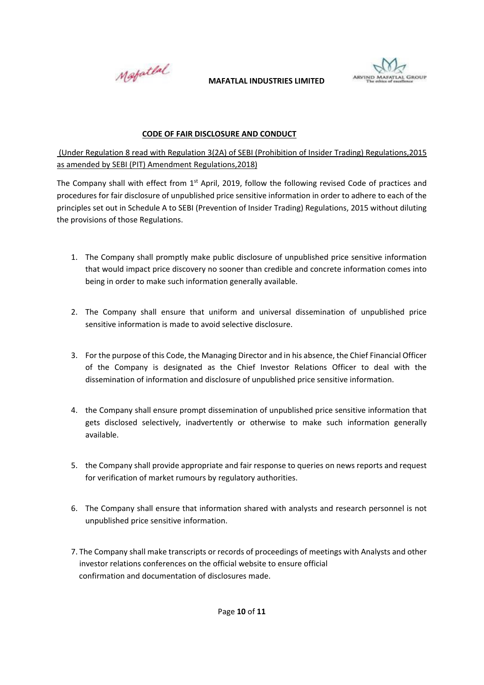



## **CODE OF FAIR DISCLOSURE AND CONDUCT**

(Under Regulation 8 read with Regulation 3(2A) of SEBI (Prohibition of Insider Trading) Regulations,2015 as amended by SEBI (PIT) Amendment Regulations,2018)

The Company shall with effect from 1<sup>st</sup> April, 2019, follow the following revised Code of practices and procedures for fair disclosure of unpublished price sensitive information in order to adhere to each of the principles set out in Schedule A to SEBI (Prevention of Insider Trading) Regulations, 2015 without diluting the provisions of those Regulations.

- 1. The Company shall promptly make public disclosure of unpublished price sensitive information that would impact price discovery no sooner than credible and concrete information comes into being in order to make such information generally available.
- 2. The Company shall ensure that uniform and universal dissemination of unpublished price sensitive information is made to avoid selective disclosure.
- 3. For the purpose of this Code, the Managing Director and in his absence, the Chief Financial Officer of the Company is designated as the Chief Investor Relations Officer to deal with the dissemination of information and disclosure of unpublished price sensitive information.
- 4. the Company shall ensure prompt dissemination of unpublished price sensitive information that gets disclosed selectively, inadvertently or otherwise to make such information generally available.
- 5. the Company shall provide appropriate and fair response to queries on news reports and request for verification of market rumours by regulatory authorities.
- 6. The Company shall ensure that information shared with analysts and research personnel is not unpublished price sensitive information.
- 7. The Company shall make transcripts or records of proceedings of meetings with Analysts and other investor relations conferences on the official website to ensure official confirmation and documentation of disclosures made.